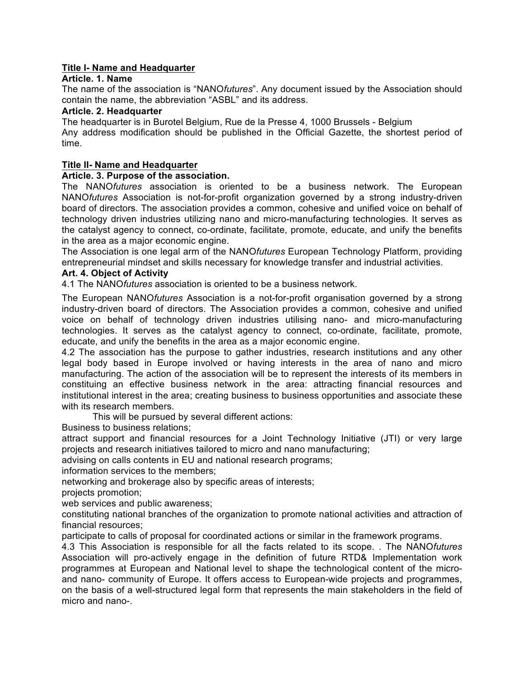# **Title I- Name and Headquarter**

### **Article. 1. Name**

The name of the association is "NANO*futures*". Any document issued by the Association should contain the name, the abbreviation "ASBL" and its address.

#### **Article. 2. Headquarter**

The headquarter is in Burotel Belgium, Rue de la Presse 4, 1000 Brussels - Belgium Any address modification should be published in the Official Gazette, the shortest period of time.

#### **Title II- Name and Headquarter**

### **Article. 3. Purpose of the association.**

The NANO*futures* association is oriented to be a business network. The European NANO*futures* Association is not-for-profit organization governed by a strong industry-driven board of directors. The association provides a common, cohesive and unified voice on behalf of technology driven industries utilizing nano and micro-manufacturing technologies. It serves as the catalyst agency to connect, co-ordinate, facilitate, promote, educate, and unify the benefits in the area as a major economic engine.

The Association is one legal arm of the NANO*futures* European Technology Platform, providing entrepreneurial mindset and skills necessary for knowledge transfer and industrial activities.

### **Art. 4. Object of Activity**

4.1 The NANO*futures* association is oriented to be a business network.

The European NANO*futures* Association is a not-for-profit organisation governed by a strong industry-driven board of directors. The Association provides a common, cohesive and unified voice on behalf of technology driven industries utilising nano- and micro-manufacturing technologies. It serves as the catalyst agency to connect, co-ordinate, facilitate, promote, educate, and unify the benefits in the area as a major economic engine.

4.2 The association has the purpose to gather industries, research institutions and any other legal body based in Europe involved or having interests in the area of nano and micro manufacturing. The action of the association will be to represent the interests of its members in constituing an effective business network in the area: attracting financial resources and institutional interest in the area; creating business to business opportunities and associate these with its research members.

This will be pursued by several different actions:

Business to business relations;

attract support and financial resources for a Joint Technology Initiative (JTI) or very large projects and research initiatives tailored to micro and nano manufacturing;

advising on calls contents in EU and national research programs;

information services to the members;

networking and brokerage also by specific areas of interests;

projects promotion;

web services and public awareness;

constituting national branches of the organization to promote national activities and attraction of financial resources;

participate to calls of proposal for coordinated actions or similar in the framework programs.

4.3 This Association is responsible for all the facts related to its scope. . The NANO*futures* Association will pro-actively engage in the definition of future RTD& Implementation work programmes at European and National level to shape the technological content of the microand nano- community of Europe. It offers access to European-wide projects and programmes, on the basis of a well-structured legal form that represents the main stakeholders in the field of micro and nano-.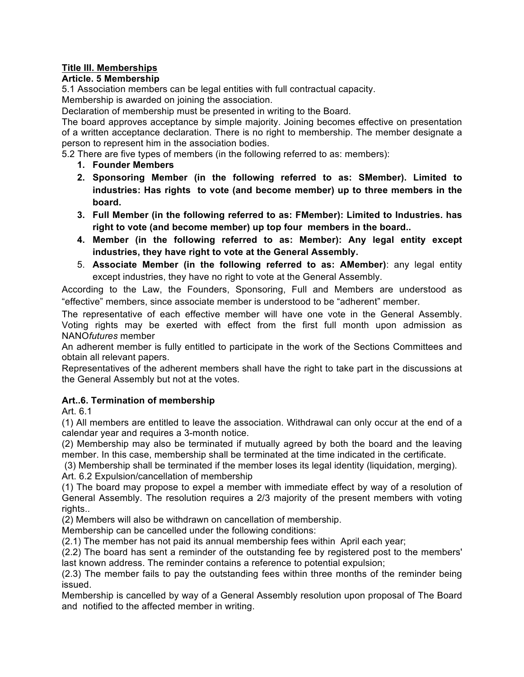# **Title III. Memberships**

# **Article. 5 Membership**

5.1 Association members can be legal entities with full contractual capacity. Membership is awarded on joining the association.

Declaration of membership must be presented in writing to the Board.

The board approves acceptance by simple majority. Joining becomes effective on presentation of a written acceptance declaration. There is no right to membership. The member designate a person to represent him in the association bodies.

5.2 There are five types of members (in the following referred to as: members):

- **1. Founder Members**
- **2. Sponsoring Member (in the following referred to as: SMember). Limited to industries: Has rights to vote (and become member) up to three members in the board.**
- **3. Full Member (in the following referred to as: FMember): Limited to Industries. has right to vote (and become member) up top four members in the board..**
- **4. Member (in the following referred to as: Member): Any legal entity except industries, they have right to vote at the General Assembly.**
- 5. **Associate Member (in the following referred to as: AMember)**: any legal entity except industries, they have no right to vote at the General Assembly.

According to the Law, the Founders, Sponsoring, Full and Members are understood as "effective" members, since associate member is understood to be "adherent" member.

The representative of each effective member will have one vote in the General Assembly. Voting rights may be exerted with effect from the first full month upon admission as NANO*futures* member

An adherent member is fully entitled to participate in the work of the Sections Committees and obtain all relevant papers.

Representatives of the adherent members shall have the right to take part in the discussions at the General Assembly but not at the votes.

# **Art..6. Termination of membership**

Art. 6.1

(1) All members are entitled to leave the association. Withdrawal can only occur at the end of a calendar year and requires a 3-month notice.

(2) Membership may also be terminated if mutually agreed by both the board and the leaving member. In this case, membership shall be terminated at the time indicated in the certificate.

(3) Membership shall be terminated if the member loses its legal identity (liquidation, merging).

Art. 6.2 Expulsion/cancellation of membership

(1) The board may propose to expel a member with immediate effect by way of a resolution of General Assembly. The resolution requires a 2/3 majority of the present members with voting rights..

(2) Members will also be withdrawn on cancellation of membership.

Membership can be cancelled under the following conditions:

(2.1) The member has not paid its annual membership fees within April each year;

(2.2) The board has sent a reminder of the outstanding fee by registered post to the members' last known address. The reminder contains a reference to potential expulsion;

(2.3) The member fails to pay the outstanding fees within three months of the reminder being issued.

Membership is cancelled by way of a General Assembly resolution upon proposal of The Board and notified to the affected member in writing.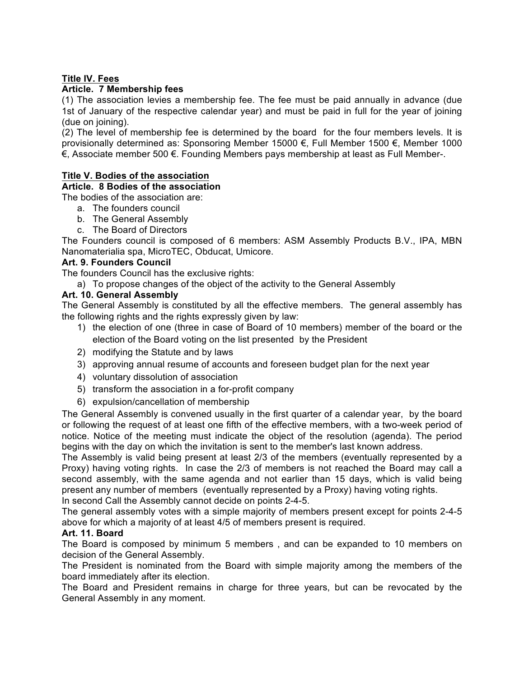# **Title IV. Fees**

## **Article. 7 Membership fees**

(1) The association levies a membership fee. The fee must be paid annually in advance (due 1st of January of the respective calendar year) and must be paid in full for the year of joining (due on joining).

(2) The level of membership fee is determined by the board for the four members levels. It is provisionally determined as: Sponsoring Member 15000 €, Full Member 1500 €, Member 1000 €, Associate member 500 €. Founding Members pays membership at least as Full Member-.

## **Title V. Bodies of the association**

# **Article. 8 Bodies of the association**

The bodies of the association are:

- a. The founders council
- b. The General Assembly
- c. The Board of Directors

The Founders council is composed of 6 members: ASM Assembly Products B.V., IPA, MBN Nanomaterialia spa, MicroTEC, Obducat, Umicore.

## **Art. 9. Founders Council**

The founders Council has the exclusive rights:

a) To propose changes of the object of the activity to the General Assembly

## **Art. 10. General Assembly**

The General Assembly is constituted by all the effective members. The general assembly has the following rights and the rights expressly given by law:

- 1) the election of one (three in case of Board of 10 members) member of the board or the election of the Board voting on the list presented by the President
- 2) modifying the Statute and by laws
- 3) approving annual resume of accounts and foreseen budget plan for the next year
- 4) voluntary dissolution of association
- 5) transform the association in a for-profit company
- 6) expulsion/cancellation of membership

The General Assembly is convened usually in the first quarter of a calendar year, by the board or following the request of at least one fifth of the effective members, with a two-week period of notice. Notice of the meeting must indicate the object of the resolution (agenda). The period begins with the day on which the invitation is sent to the member's last known address.

The Assembly is valid being present at least 2/3 of the members (eventually represented by a Proxy) having voting rights. In case the 2/3 of members is not reached the Board may call a second assembly, with the same agenda and not earlier than 15 days, which is valid being present any number of members (eventually represented by a Proxy) having voting rights.

In second Call the Assembly cannot decide on points 2-4-5.

The general assembly votes with a simple majority of members present except for points 2-4-5 above for which a majority of at least 4/5 of members present is required.

### **Art. 11. Board**

The Board is composed by minimum 5 members , and can be expanded to 10 members on decision of the General Assembly.

The President is nominated from the Board with simple majority among the members of the board immediately after its election.

The Board and President remains in charge for three years, but can be revocated by the General Assembly in any moment.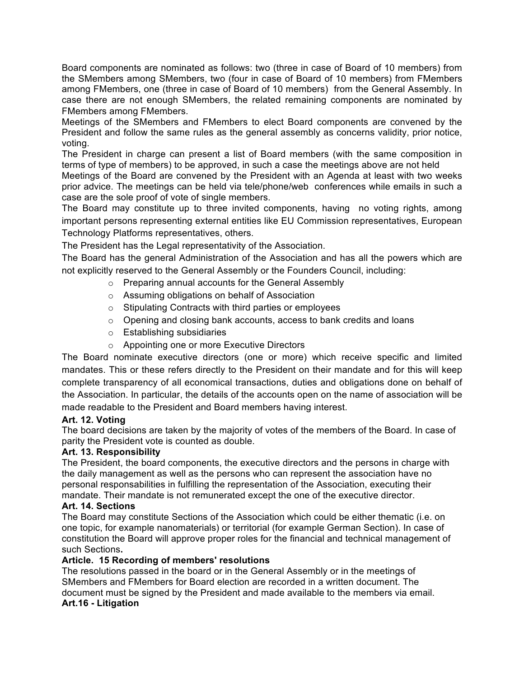Board components are nominated as follows: two (three in case of Board of 10 members) from the SMembers among SMembers, two (four in case of Board of 10 members) from FMembers among FMembers, one (three in case of Board of 10 members) from the General Assembly. In case there are not enough SMembers, the related remaining components are nominated by FMembers among FMembers.

Meetings of the SMembers and FMembers to elect Board components are convened by the President and follow the same rules as the general assembly as concerns validity, prior notice, voting.

The President in charge can present a list of Board members (with the same composition in terms of type of members) to be approved, in such a case the meetings above are not held

Meetings of the Board are convened by the President with an Agenda at least with two weeks prior advice. The meetings can be held via tele/phone/web conferences while emails in such a case are the sole proof of vote of single members.

The Board may constitute up to three invited components, having no voting rights, among important persons representing external entities like EU Commission representatives, European Technology Platforms representatives, others.

The President has the Legal representativity of the Association.

The Board has the general Administration of the Association and has all the powers which are not explicitly reserved to the General Assembly or the Founders Council, including:

- o Preparing annual accounts for the General Assembly
- o Assuming obligations on behalf of Association
- o Stipulating Contracts with third parties or employees
- o Opening and closing bank accounts, access to bank credits and loans
- o Establishing subsidiaries
- o Appointing one or more Executive Directors

The Board nominate executive directors (one or more) which receive specific and limited mandates. This or these refers directly to the President on their mandate and for this will keep complete transparency of all economical transactions, duties and obligations done on behalf of the Association. In particular, the details of the accounts open on the name of association will be made readable to the President and Board members having interest.

### **Art. 12. Voting**

The board decisions are taken by the majority of votes of the members of the Board. In case of parity the President vote is counted as double.

### **Art. 13. Responsibility**

The President, the board components, the executive directors and the persons in charge with the daily management as well as the persons who can represent the association have no personal responsabilities in fulfilling the representation of the Association, executing their mandate. Their mandate is not remunerated except the one of the executive director.

# **Art. 14. Sections**

The Board may constitute Sections of the Association which could be either thematic (i.e. on one topic, for example nanomaterials) or territorial (for example German Section). In case of constitution the Board will approve proper roles for the financial and technical management of such Sections**.**

### **Article. 15 Recording of members' resolutions**

The resolutions passed in the board or in the General Assembly or in the meetings of SMembers and FMembers for Board election are recorded in a written document. The document must be signed by the President and made available to the members via email. **Art.16 - Litigation**